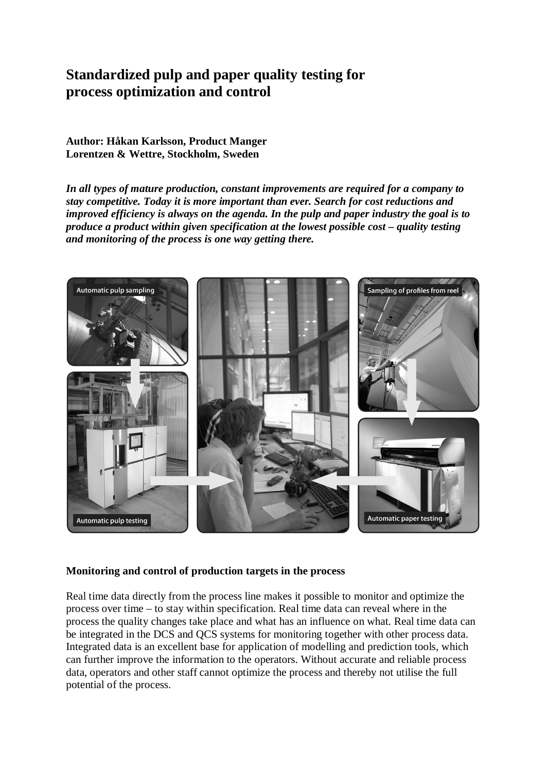# **Standardized pulp and paper quality testing for process optimization and control**

**Author: Håkan Karlsson, Product Manger Lorentzen & Wettre, Stockholm, Sweden** 

*In all types of mature production, constant improvements are required for a company to stay competitive. Today it is more important than ever. Search for cost reductions and improved efficiency is always on the agenda. In the pulp and paper industry the goal is to produce a product within given specification at the lowest possible cost – quality testing and monitoring of the process is one way getting there.* 



### **Monitoring and control of production targets in the process**

Real time data directly from the process line makes it possible to monitor and optimize the process over time – to stay within specification. Real time data can reveal where in the process the quality changes take place and what has an influence on what. Real time data can be integrated in the DCS and QCS systems for monitoring together with other process data. Integrated data is an excellent base for application of modelling and prediction tools, which can further improve the information to the operators. Without accurate and reliable process data, operators and other staff cannot optimize the process and thereby not utilise the full potential of the process.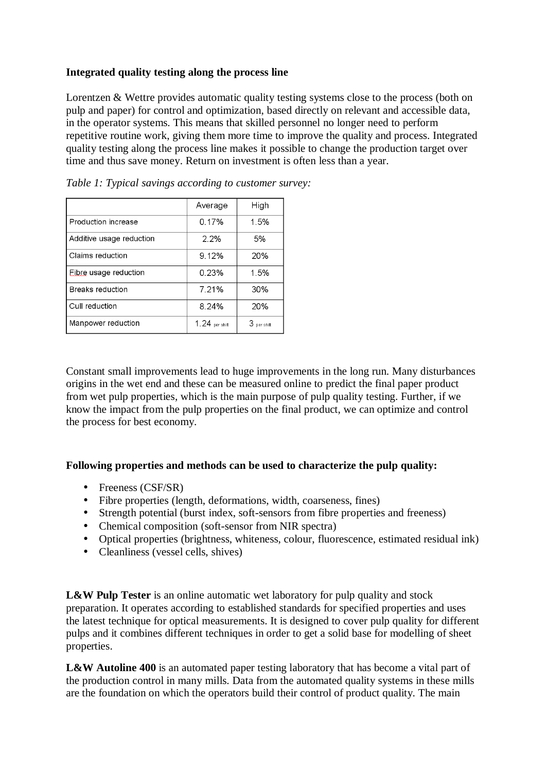## **Integrated quality testing along the process line**

Lorentzen & Wettre provides automatic quality testing systems close to the process (both on pulp and paper) for control and optimization, based directly on relevant and accessible data, in the operator systems. This means that skilled personnel no longer need to perform repetitive routine work, giving them more time to improve the quality and process. Integrated quality testing along the process line makes it possible to change the production target over time and thus save money. Return on investment is often less than a year.

|                          | Average          | High        |
|--------------------------|------------------|-------------|
| l Production increase    | 0.17%            | 1.5%        |
| Additive usage reduction | $2.2\%$          | 5%          |
| Claims reduction         | 9.12%            | 20%         |
| Eibre usage reduction    | 0.23%            | 1.5%        |
| <b>Breaks reduction</b>  | 7.21%            | 30%         |
| Cull reduction           | 8.24%            | 20%         |
| Manpower reduction       | $1.24$ per shift | 3 per shift |

*Table 1: Typical savings according to customer survey:* 

Constant small improvements lead to huge improvements in the long run. Many disturbances origins in the wet end and these can be measured online to predict the final paper product from wet pulp properties, which is the main purpose of pulp quality testing. Further, if we know the impact from the pulp properties on the final product, we can optimize and control the process for best economy.

### **Following properties and methods can be used to characterize the pulp quality:**

- Freeness (CSF/SR)
- Fibre properties (length, deformations, width, coarseness, fines)
- Strength potential (burst index, soft-sensors from fibre properties and freeness)
- Chemical composition (soft-sensor from NIR spectra)
- Optical properties (brightness, whiteness, colour, fluorescence, estimated residual ink)
- Cleanliness (vessel cells, shives)

**L&W Pulp Tester** is an online automatic wet laboratory for pulp quality and stock preparation. It operates according to established standards for specified properties and uses the latest technique for optical measurements. It is designed to cover pulp quality for different pulps and it combines different techniques in order to get a solid base for modelling of sheet properties.

L&W Autoline 400 is an automated paper testing laboratory that has become a vital part of the production control in many mills. Data from the automated quality systems in these mills are the foundation on which the operators build their control of product quality. The main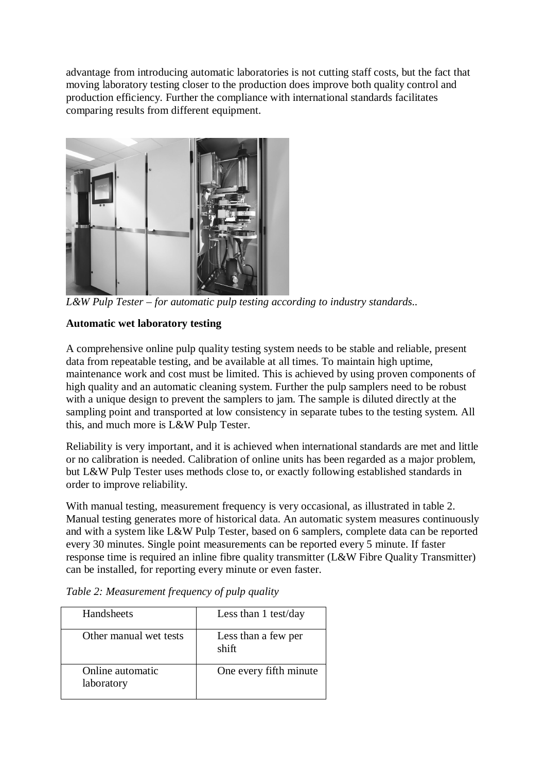advantage from introducing automatic laboratories is not cutting staff costs, but the fact that moving laboratory testing closer to the production does improve both quality control and production efficiency. Further the compliance with international standards facilitates comparing results from different equipment.



*L&W Pulp Tester – for automatic pulp testing according to industry standards..*

### **Automatic wet laboratory testing**

A comprehensive online pulp quality testing system needs to be stable and reliable, present data from repeatable testing, and be available at all times. To maintain high uptime, maintenance work and cost must be limited. This is achieved by using proven components of high quality and an automatic cleaning system. Further the pulp samplers need to be robust with a unique design to prevent the samplers to jam. The sample is diluted directly at the sampling point and transported at low consistency in separate tubes to the testing system. All this, and much more is L&W Pulp Tester.

Reliability is very important, and it is achieved when international standards are met and little or no calibration is needed. Calibration of online units has been regarded as a major problem, but L&W Pulp Tester uses methods close to, or exactly following established standards in order to improve reliability.

With manual testing, measurement frequency is very occasional, as illustrated in table 2. Manual testing generates more of historical data. An automatic system measures continuously and with a system like L&W Pulp Tester, based on 6 samplers, complete data can be reported every 30 minutes. Single point measurements can be reported every 5 minute. If faster response time is required an inline fibre quality transmitter (L&W Fibre Quality Transmitter) can be installed, for reporting every minute or even faster.

| Handsheets                     | Less than 1 test/day         |
|--------------------------------|------------------------------|
| Other manual wet tests         | Less than a few per<br>shift |
| Online automatic<br>laboratory | One every fifth minute       |

*Table 2: Measurement frequency of pulp quality*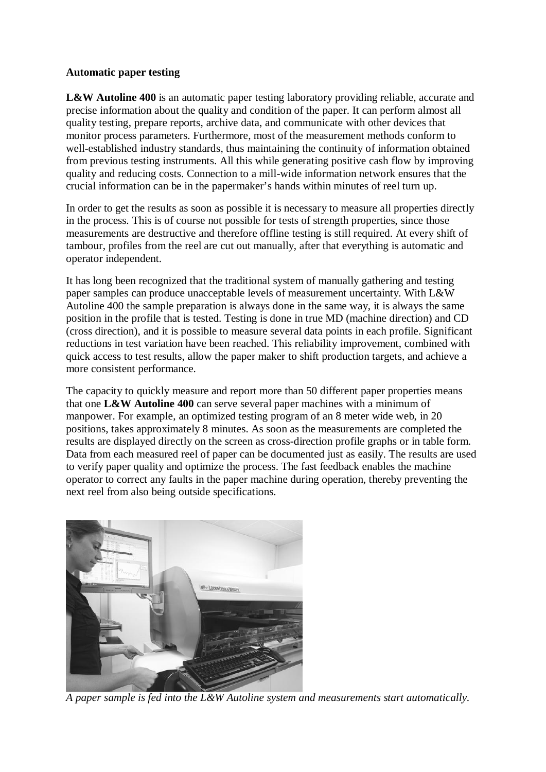#### **Automatic paper testing**

**L&W Autoline 400** is an automatic paper testing laboratory providing reliable, accurate and precise information about the quality and condition of the paper. It can perform almost all quality testing, prepare reports, archive data, and communicate with other devices that monitor process parameters. Furthermore, most of the measurement methods conform to well-established industry standards, thus maintaining the continuity of information obtained from previous testing instruments. All this while generating positive cash flow by improving quality and reducing costs. Connection to a mill-wide information network ensures that the crucial information can be in the papermaker's hands within minutes of reel turn up.

In order to get the results as soon as possible it is necessary to measure all properties directly in the process. This is of course not possible for tests of strength properties, since those measurements are destructive and therefore offline testing is still required. At every shift of tambour, profiles from the reel are cut out manually, after that everything is automatic and operator independent.

It has long been recognized that the traditional system of manually gathering and testing paper samples can produce unacceptable levels of measurement uncertainty. With L&W Autoline 400 the sample preparation is always done in the same way, it is always the same position in the profile that is tested. Testing is done in true MD (machine direction) and CD (cross direction), and it is possible to measure several data points in each profile. Significant reductions in test variation have been reached. This reliability improvement, combined with quick access to test results, allow the paper maker to shift production targets, and achieve a more consistent performance.

The capacity to quickly measure and report more than 50 different paper properties means that one **L&W Autoline 400** can serve several paper machines with a minimum of manpower. For example, an optimized testing program of an 8 meter wide web, in 20 positions, takes approximately 8 minutes. As soon as the measurements are completed the results are displayed directly on the screen as cross-direction profile graphs or in table form. Data from each measured reel of paper can be documented just as easily. The results are used to verify paper quality and optimize the process. The fast feedback enables the machine operator to correct any faults in the paper machine during operation, thereby preventing the next reel from also being outside specifications.



*A paper sample is fed into the L&W Autoline system and measurements start automatically.*